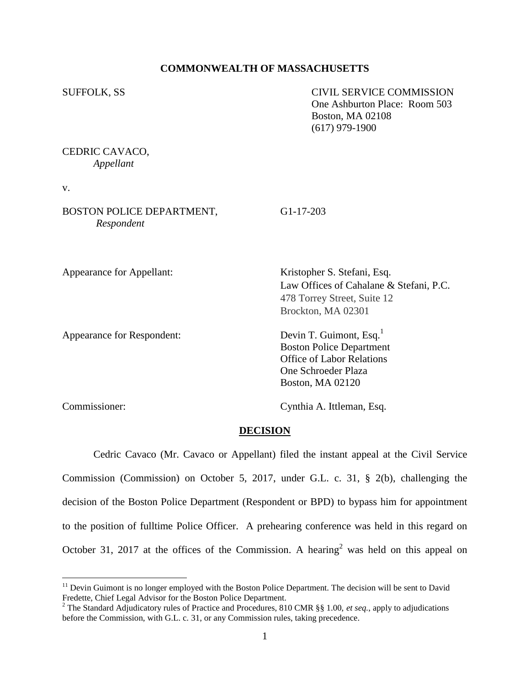## **COMMONWEALTH OF MASSACHUSETTS**

SUFFOLK, SS CIVIL SERVICE COMMISSION One Ashburton Place: Room 503 Boston, MA 02108 (617) 979-1900

CEDRIC CAVACO, *Appellant*

v.

BOSTON POLICE DEPARTMENT, G1-17-203 *Respondent*

Appearance for Appellant: Kristopher S. Stefani, Esq. Law Offices of Cahalane & Stefani, P.C. 478 Torrey Street, Suite 12 Brockton, MA 02301

Appearance for Respondent: Devin T. Guimont, Esq.<sup>1</sup> Boston Police Department Office of Labor Relations One Schroeder Plaza Boston, MA 02120

 $\overline{a}$ 

Commissioner: Cynthia A. Ittleman, Esq.

#### **DECISION**

Cedric Cavaco (Mr. Cavaco or Appellant) filed the instant appeal at the Civil Service Commission (Commission) on October 5, 2017, under G.L. c. 31, § 2(b), challenging the decision of the Boston Police Department (Respondent or BPD) to bypass him for appointment to the position of fulltime Police Officer. A prehearing conference was held in this regard on October 31, 2017 at the offices of the Commission. A hearing<sup>2</sup> was held on this appeal on

<sup>&</sup>lt;sup>11</sup> Devin Guimont is no longer employed with the Boston Police Department. The decision will be sent to David Fredette, Chief Legal Advisor for the Boston Police Department.

<sup>&</sup>lt;sup>2</sup> The Standard Adjudicatory rules of Practice and Procedures, 810 CMR §§ 1.00, *et seq.*, apply to adjudications before the Commission, with G.L. c. 31, or any Commission rules, taking precedence.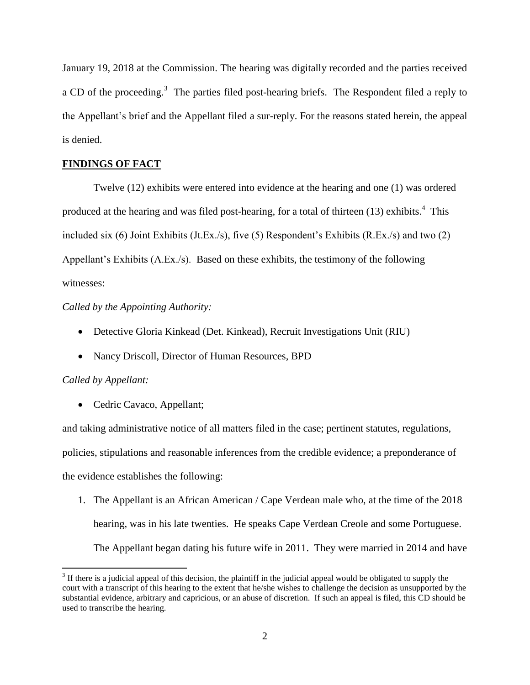January 19, 2018 at the Commission. The hearing was digitally recorded and the parties received a CD of the proceeding.<sup>3</sup> The parties filed post-hearing briefs. The Respondent filed a reply to the Appellant's brief and the Appellant filed a sur-reply. For the reasons stated herein, the appeal is denied.

# **FINDINGS OF FACT**

Twelve (12) exhibits were entered into evidence at the hearing and one (1) was ordered produced at the hearing and was filed post-hearing, for a total of thirteen (13) exhibits.<sup>4</sup> This included six (6) Joint Exhibits (Jt.Ex./s), five (5) Respondent's Exhibits (R.Ex./s) and two (2) Appellant's Exhibits (A.Ex./s). Based on these exhibits, the testimony of the following witnesses:

# *Called by the Appointing Authority:*

- Detective Gloria Kinkead (Det. Kinkead), Recruit Investigations Unit (RIU)
- Nancy Driscoll, Director of Human Resources, BPD

#### *Called by Appellant:*

 $\overline{a}$ 

• Cedric Cavaco, Appellant;

and taking administrative notice of all matters filed in the case; pertinent statutes, regulations, policies, stipulations and reasonable inferences from the credible evidence; a preponderance of the evidence establishes the following:

1. The Appellant is an African American / Cape Verdean male who, at the time of the 2018 hearing, was in his late twenties. He speaks Cape Verdean Creole and some Portuguese. The Appellant began dating his future wife in 2011. They were married in 2014 and have

 $3$  If there is a judicial appeal of this decision, the plaintiff in the judicial appeal would be obligated to supply the court with a transcript of this hearing to the extent that he/she wishes to challenge the decision as unsupported by the substantial evidence, arbitrary and capricious, or an abuse of discretion. If such an appeal is filed, this CD should be used to transcribe the hearing.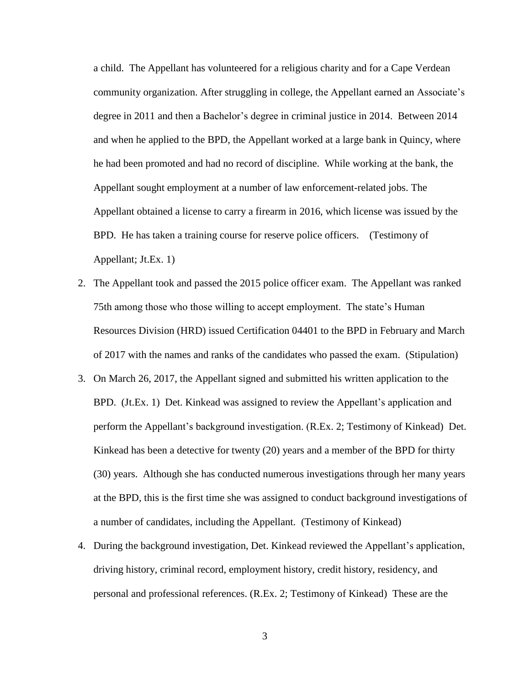a child. The Appellant has volunteered for a religious charity and for a Cape Verdean community organization. After struggling in college, the Appellant earned an Associate's degree in 2011 and then a Bachelor's degree in criminal justice in 2014. Between 2014 and when he applied to the BPD, the Appellant worked at a large bank in Quincy, where he had been promoted and had no record of discipline. While working at the bank, the Appellant sought employment at a number of law enforcement-related jobs. The Appellant obtained a license to carry a firearm in 2016, which license was issued by the BPD. He has taken a training course for reserve police officers. (Testimony of Appellant; Jt.Ex. 1)

- 2. The Appellant took and passed the 2015 police officer exam. The Appellant was ranked 75th among those who those willing to accept employment. The state's Human Resources Division (HRD) issued Certification 04401 to the BPD in February and March of 2017 with the names and ranks of the candidates who passed the exam. (Stipulation)
- 3. On March 26, 2017, the Appellant signed and submitted his written application to the BPD. (Jt.Ex. 1) Det. Kinkead was assigned to review the Appellant's application and perform the Appellant's background investigation. (R.Ex. 2; Testimony of Kinkead) Det. Kinkead has been a detective for twenty (20) years and a member of the BPD for thirty (30) years. Although she has conducted numerous investigations through her many years at the BPD, this is the first time she was assigned to conduct background investigations of a number of candidates, including the Appellant. (Testimony of Kinkead)
- 4. During the background investigation, Det. Kinkead reviewed the Appellant's application, driving history, criminal record, employment history, credit history, residency, and personal and professional references. (R.Ex. 2; Testimony of Kinkead) These are the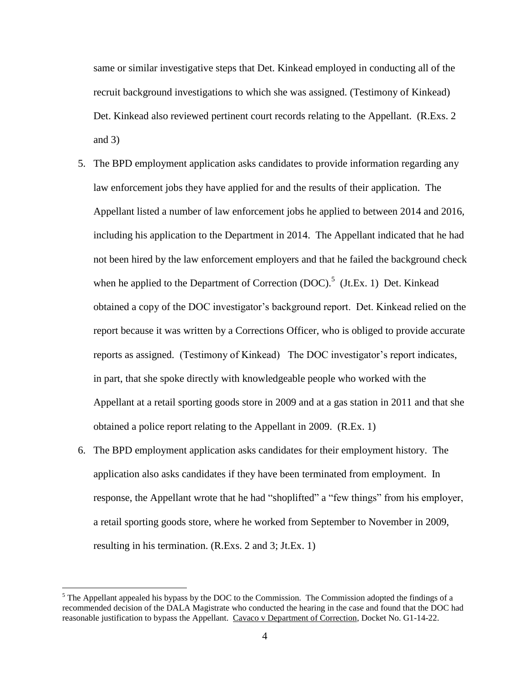same or similar investigative steps that Det. Kinkead employed in conducting all of the recruit background investigations to which she was assigned. (Testimony of Kinkead) Det. Kinkead also reviewed pertinent court records relating to the Appellant. (R.Exs. 2 and 3)

- 5. The BPD employment application asks candidates to provide information regarding any law enforcement jobs they have applied for and the results of their application. The Appellant listed a number of law enforcement jobs he applied to between 2014 and 2016, including his application to the Department in 2014. The Appellant indicated that he had not been hired by the law enforcement employers and that he failed the background check when he applied to the Department of Correction  $(DOC)^5$ . (Jt.Ex. 1) Det. Kinkead obtained a copy of the DOC investigator's background report. Det. Kinkead relied on the report because it was written by a Corrections Officer, who is obliged to provide accurate reports as assigned. (Testimony of Kinkead) The DOC investigator's report indicates, in part, that she spoke directly with knowledgeable people who worked with the Appellant at a retail sporting goods store in 2009 and at a gas station in 2011 and that she obtained a police report relating to the Appellant in 2009. (R.Ex. 1)
- 6. The BPD employment application asks candidates for their employment history. The application also asks candidates if they have been terminated from employment. In response, the Appellant wrote that he had "shoplifted" a "few things" from his employer, a retail sporting goods store, where he worked from September to November in 2009, resulting in his termination. (R.Exs. 2 and 3; Jt.Ex. 1)

 $\overline{a}$ 

 $<sup>5</sup>$  The Appellant appealed his bypass by the DOC to the Commission. The Commission adopted the findings of a</sup> recommended decision of the DALA Magistrate who conducted the hearing in the case and found that the DOC had reasonable justification to bypass the Appellant. Cavaco v Department of Correction, Docket No. G1-14-22.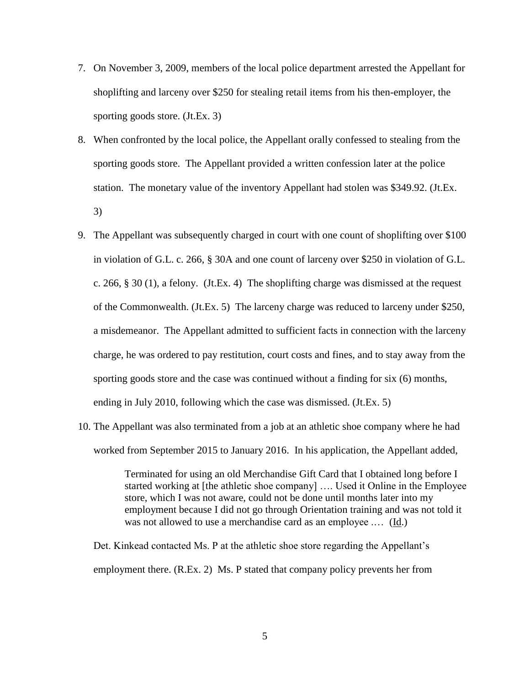- 7. On November 3, 2009, members of the local police department arrested the Appellant for shoplifting and larceny over \$250 for stealing retail items from his then-employer, the sporting goods store. (Jt.Ex. 3)
- 8. When confronted by the local police, the Appellant orally confessed to stealing from the sporting goods store. The Appellant provided a written confession later at the police station. The monetary value of the inventory Appellant had stolen was \$349.92. (Jt.Ex. 3)
- 9. The Appellant was subsequently charged in court with one count of shoplifting over \$100 in violation of G.L. c. 266, § 30A and one count of larceny over \$250 in violation of G.L. c. 266, § 30 (1), a felony. (Jt.Ex. 4) The shoplifting charge was dismissed at the request of the Commonwealth. (Jt.Ex. 5) The larceny charge was reduced to larceny under \$250, a misdemeanor. The Appellant admitted to sufficient facts in connection with the larceny charge, he was ordered to pay restitution, court costs and fines, and to stay away from the sporting goods store and the case was continued without a finding for six (6) months, ending in July 2010, following which the case was dismissed. (Jt.Ex. 5)
- 10. The Appellant was also terminated from a job at an athletic shoe company where he had worked from September 2015 to January 2016. In his application, the Appellant added,

Terminated for using an old Merchandise Gift Card that I obtained long before I started working at [the athletic shoe company] …. Used it Online in the Employee store, which I was not aware, could not be done until months later into my employment because I did not go through Orientation training and was not told it was not allowed to use a merchandise card as an employee .… (Id.)

Det. Kinkead contacted Ms. P at the athletic shoe store regarding the Appellant's employment there. (R.Ex. 2) Ms. P stated that company policy prevents her from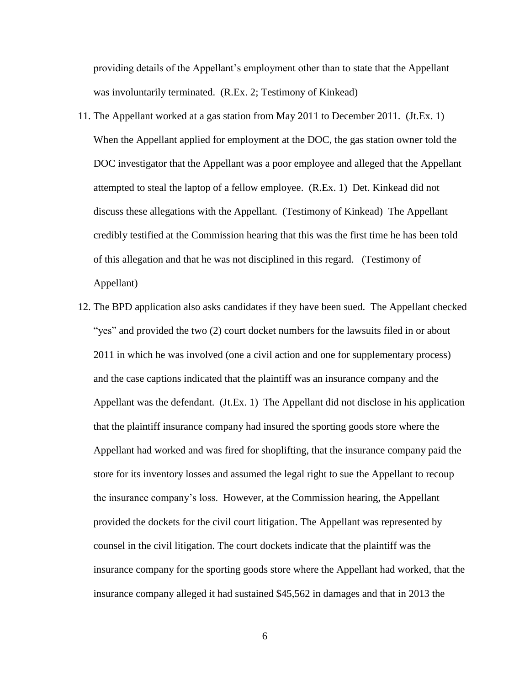providing details of the Appellant's employment other than to state that the Appellant was involuntarily terminated. (R.Ex. 2; Testimony of Kinkead)

- 11. The Appellant worked at a gas station from May 2011 to December 2011. (Jt.Ex. 1) When the Appellant applied for employment at the DOC, the gas station owner told the DOC investigator that the Appellant was a poor employee and alleged that the Appellant attempted to steal the laptop of a fellow employee. (R.Ex. 1) Det. Kinkead did not discuss these allegations with the Appellant. (Testimony of Kinkead) The Appellant credibly testified at the Commission hearing that this was the first time he has been told of this allegation and that he was not disciplined in this regard. (Testimony of Appellant)
- 12. The BPD application also asks candidates if they have been sued. The Appellant checked "yes" and provided the two (2) court docket numbers for the lawsuits filed in or about 2011 in which he was involved (one a civil action and one for supplementary process) and the case captions indicated that the plaintiff was an insurance company and the Appellant was the defendant. (Jt.Ex. 1) The Appellant did not disclose in his application that the plaintiff insurance company had insured the sporting goods store where the Appellant had worked and was fired for shoplifting, that the insurance company paid the store for its inventory losses and assumed the legal right to sue the Appellant to recoup the insurance company's loss. However, at the Commission hearing, the Appellant provided the dockets for the civil court litigation. The Appellant was represented by counsel in the civil litigation. The court dockets indicate that the plaintiff was the insurance company for the sporting goods store where the Appellant had worked, that the insurance company alleged it had sustained \$45,562 in damages and that in 2013 the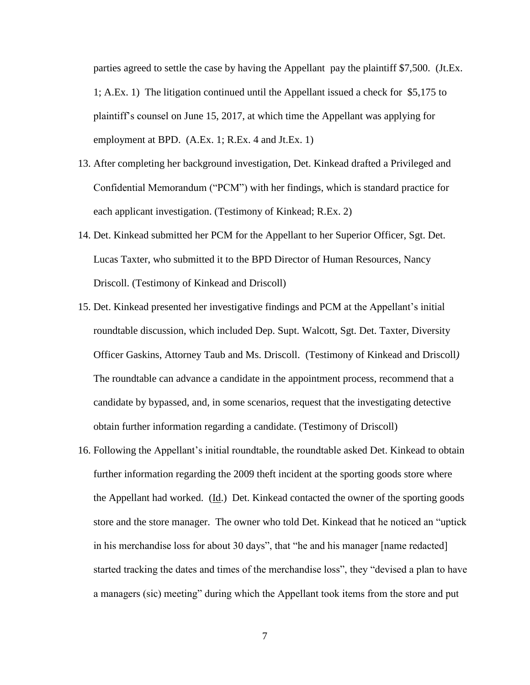parties agreed to settle the case by having the Appellant pay the plaintiff \$7,500. (Jt.Ex. 1; A.Ex. 1) The litigation continued until the Appellant issued a check for \$5,175 to plaintiff's counsel on June 15, 2017, at which time the Appellant was applying for employment at BPD. (A.Ex. 1; R.Ex. 4 and Jt.Ex. 1)

- 13. After completing her background investigation, Det. Kinkead drafted a Privileged and Confidential Memorandum ("PCM") with her findings, which is standard practice for each applicant investigation. (Testimony of Kinkead; R.Ex. 2)
- 14. Det. Kinkead submitted her PCM for the Appellant to her Superior Officer, Sgt. Det. Lucas Taxter, who submitted it to the BPD Director of Human Resources, Nancy Driscoll. (Testimony of Kinkead and Driscoll)
- 15. Det. Kinkead presented her investigative findings and PCM at the Appellant's initial roundtable discussion, which included Dep. Supt. Walcott, Sgt. Det. Taxter, Diversity Officer Gaskins, Attorney Taub and Ms. Driscoll. (Testimony of Kinkead and Driscoll*)* The roundtable can advance a candidate in the appointment process, recommend that a candidate by bypassed, and, in some scenarios, request that the investigating detective obtain further information regarding a candidate. (Testimony of Driscoll)
- 16. Following the Appellant's initial roundtable, the roundtable asked Det. Kinkead to obtain further information regarding the 2009 theft incident at the sporting goods store where the Appellant had worked. (Id.) Det. Kinkead contacted the owner of the sporting goods store and the store manager. The owner who told Det. Kinkead that he noticed an "uptick in his merchandise loss for about 30 days", that "he and his manager [name redacted] started tracking the dates and times of the merchandise loss", they "devised a plan to have a managers (sic) meeting" during which the Appellant took items from the store and put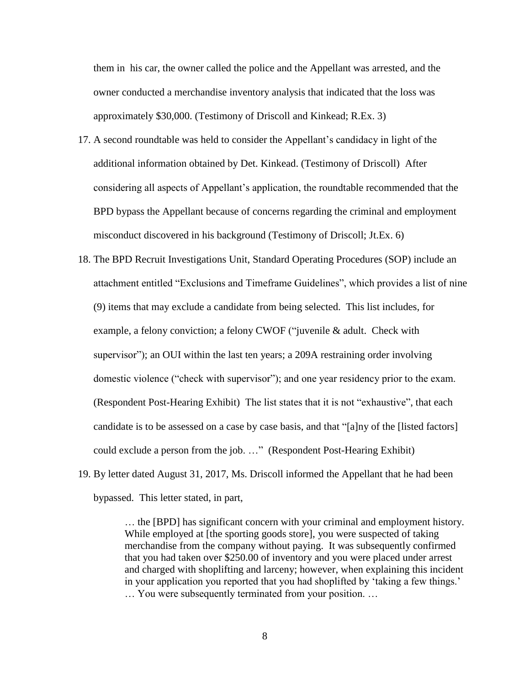them in his car, the owner called the police and the Appellant was arrested, and the owner conducted a merchandise inventory analysis that indicated that the loss was approximately \$30,000. (Testimony of Driscoll and Kinkead; R.Ex. 3)

- 17. A second roundtable was held to consider the Appellant's candidacy in light of the additional information obtained by Det. Kinkead. (Testimony of Driscoll) After considering all aspects of Appellant's application, the roundtable recommended that the BPD bypass the Appellant because of concerns regarding the criminal and employment misconduct discovered in his background (Testimony of Driscoll; Jt.Ex. 6)
- 18. The BPD Recruit Investigations Unit, Standard Operating Procedures (SOP) include an attachment entitled "Exclusions and Timeframe Guidelines", which provides a list of nine (9) items that may exclude a candidate from being selected. This list includes, for example, a felony conviction; a felony CWOF ("juvenile & adult. Check with supervisor"); an OUI within the last ten years; a 209A restraining order involving domestic violence ("check with supervisor"); and one year residency prior to the exam. (Respondent Post-Hearing Exhibit) The list states that it is not "exhaustive", that each candidate is to be assessed on a case by case basis, and that "[a]ny of the [listed factors] could exclude a person from the job. …" (Respondent Post-Hearing Exhibit)
- 19. By letter dated August 31, 2017, Ms. Driscoll informed the Appellant that he had been bypassed. This letter stated, in part,

… the [BPD] has significant concern with your criminal and employment history. While employed at [the sporting goods store], you were suspected of taking merchandise from the company without paying. It was subsequently confirmed that you had taken over \$250.00 of inventory and you were placed under arrest and charged with shoplifting and larceny; however, when explaining this incident in your application you reported that you had shoplifted by 'taking a few things.' … You were subsequently terminated from your position. …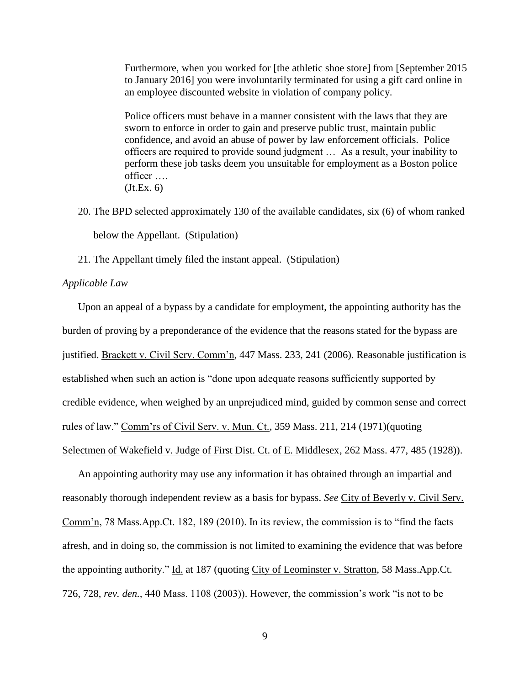Furthermore, when you worked for [the athletic shoe store] from [September 2015 to January 2016] you were involuntarily terminated for using a gift card online in an employee discounted website in violation of company policy.

Police officers must behave in a manner consistent with the laws that they are sworn to enforce in order to gain and preserve public trust, maintain public confidence, and avoid an abuse of power by law enforcement officials. Police officers are required to provide sound judgment … As a result, your inability to perform these job tasks deem you unsuitable for employment as a Boston police officer ….  $(Jt.Ex. 6)$ 

- 20. The BPD selected approximately 130 of the available candidates, six (6) of whom ranked below the Appellant. (Stipulation)
- 21. The Appellant timely filed the instant appeal. (Stipulation)

## *Applicable Law*

Upon an appeal of a bypass by a candidate for employment, the appointing authority has the burden of proving by a preponderance of the evidence that the reasons stated for the bypass are justified. Brackett v. Civil Serv. Comm'n, 447 Mass. 233, 241 (2006). Reasonable justification is established when such an action is "done upon adequate reasons sufficiently supported by credible evidence, when weighed by an unprejudiced mind, guided by common sense and correct rules of law." Comm'rs of Civil Serv. v. Mun. Ct., 359 Mass. 211, 214 (1971)(quoting Selectmen of Wakefield v. Judge of First Dist. Ct. of E. Middlesex, 262 Mass. 477, 485 (1928)).

An appointing authority may use any information it has obtained through an impartial and reasonably thorough independent review as a basis for bypass. *See* City of Beverly v. Civil Serv. Comm'n, 78 Mass.App.Ct. 182, 189 (2010). In its review, the commission is to "find the facts afresh, and in doing so, the commission is not limited to examining the evidence that was before the appointing authority." Id. at 187 (quoting City of Leominster v. Stratton, 58 Mass.App.Ct. 726, 728, *rev. den.,* 440 Mass. 1108 (2003)). However, the commission's work "is not to be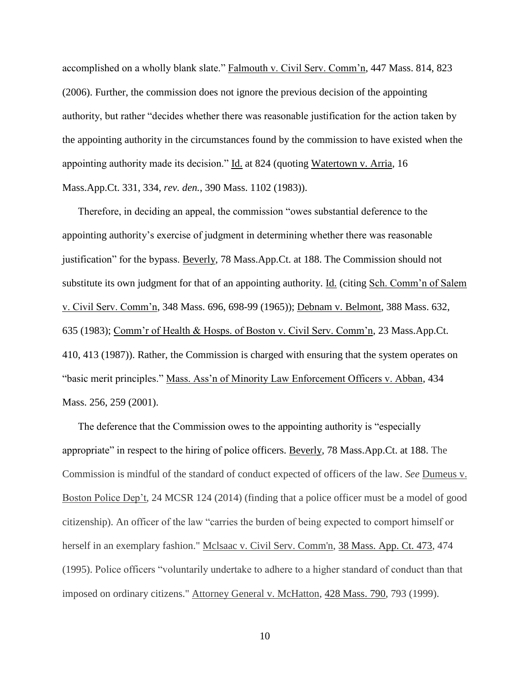accomplished on a wholly blank slate." Falmouth v. Civil Serv. Comm'n, 447 Mass. 814, 823 (2006). Further, the commission does not ignore the previous decision of the appointing authority, but rather "decides whether there was reasonable justification for the action taken by the appointing authority in the circumstances found by the commission to have existed when the appointing authority made its decision." Id. at 824 (quoting Watertown v. Arria, 16 Mass.App.Ct. 331, 334, *rev. den.*, 390 Mass. 1102 (1983)).

Therefore, in deciding an appeal, the commission "owes substantial deference to the appointing authority's exercise of judgment in determining whether there was reasonable justification" for the bypass. Beverly, 78 Mass.App.Ct. at 188. The Commission should not substitute its own judgment for that of an appointing authority. Id. (citing Sch. Comm'n of Salem v. Civil Serv. Comm'n, 348 Mass. 696, 698-99 (1965)); Debnam v. Belmont, 388 Mass. 632, 635 (1983); Comm'r of Health & Hosps. of Boston v. Civil Serv. Comm'n, 23 Mass.App.Ct. 410, 413 (1987)). Rather, the Commission is charged with ensuring that the system operates on "basic merit principles." Mass. Ass'n of Minority Law Enforcement Officers v. Abban, 434 Mass. 256, 259 (2001).

The deference that the Commission owes to the appointing authority is "especially appropriate" in respect to the hiring of police officers. Beverly, 78 Mass.App.Ct. at 188. The Commission is mindful of the standard of conduct expected of officers of the law. *See* Dumeus v. Boston Police Dep't, 24 MCSR 124 (2014) (finding that a police officer must be a model of good citizenship). An officer of the law "carries the burden of being expected to comport himself or herself in an exemplary fashion." Mclsaac v. Civil Serv. Comm'n, [38 Mass. App. Ct. 473,](http://sll.gvpi.net/document.php?id=sjcapp:38_mass_app_ct_473) 474 (1995). Police officers "voluntarily undertake to adhere to a higher standard of conduct than that imposed on ordinary citizens." Attorney General v. McHatton, [428 Mass. 790,](http://sll.gvpi.net/document.php?id=sjcapp:428_mass_790) 793 (1999).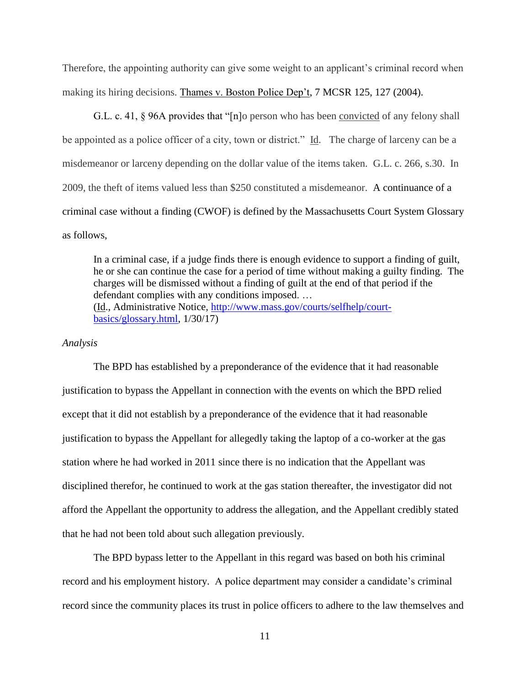Therefore, the appointing authority can give some weight to an applicant's criminal record when making its hiring decisions. Thames v. Boston Police Dep't, 7 MCSR 125, 127 (2004).

G.L. c. 41, § 96A provides that "[n]o person who has been convicted of any felony shall be appointed as a police officer of a city, town or district." Id. The charge of larceny can be a misdemeanor or larceny depending on the dollar value of the items taken. G.L. c. 266, s.30. In 2009, the theft of items valued less than \$250 constituted a misdemeanor. A continuance of a criminal case without a finding (CWOF) is defined by the Massachusetts Court System Glossary as follows,

In a criminal case, if a judge finds there is enough evidence to support a finding of guilt, he or she can continue the case for a period of time without making a guilty finding. The charges will be dismissed without a finding of guilt at the end of that period if the defendant complies with any conditions imposed. … (Id., Administrative Notice, [http://www.mass.gov/courts/selfhelp/court](http://www.mass.gov/courts/selfhelp/court-basics/glossary.html)[basics/glossary.html,](http://www.mass.gov/courts/selfhelp/court-basics/glossary.html) 1/30/17)

#### *Analysis*

The BPD has established by a preponderance of the evidence that it had reasonable justification to bypass the Appellant in connection with the events on which the BPD relied except that it did not establish by a preponderance of the evidence that it had reasonable justification to bypass the Appellant for allegedly taking the laptop of a co-worker at the gas station where he had worked in 2011 since there is no indication that the Appellant was disciplined therefor, he continued to work at the gas station thereafter, the investigator did not afford the Appellant the opportunity to address the allegation, and the Appellant credibly stated that he had not been told about such allegation previously.

The BPD bypass letter to the Appellant in this regard was based on both his criminal record and his employment history.A police department may consider a candidate's criminal record since the community places its trust in police officers to adhere to the law themselves and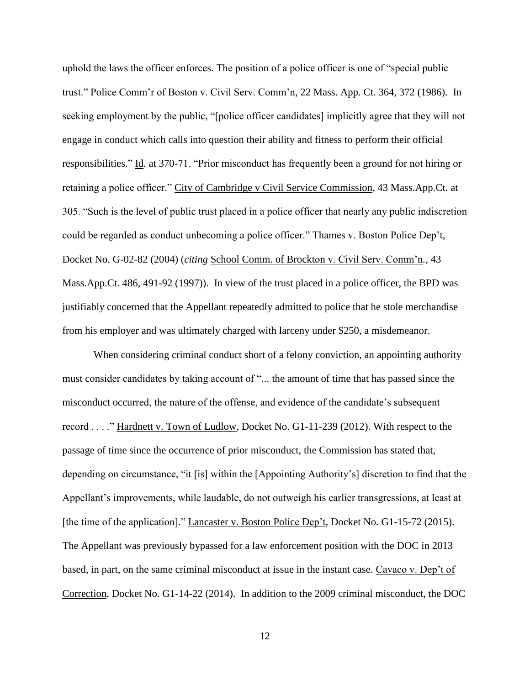uphold the laws the officer enforces. The position of a police officer is one of "special public trust." Police Comm'r of Boston v. Civil Serv. Comm'n, 22 Mass. App. Ct. 364, 372 (1986). In seeking employment by the public, "[police officer candidates] implicitly agree that they will not engage in conduct which calls into question their ability and fitness to perform their official responsibilities." Id*.* at 370-71. "Prior misconduct has frequently been a ground for not hiring or retaining a police officer." City of Cambridge v Civil Service Commission, 43 Mass.App.Ct. at 305. "Such is the level of public trust placed in a police officer that nearly any public indiscretion could be regarded as conduct unbecoming a police officer." Thames v. Boston Police Dep't, Docket No. G-02-82 (2004) (*citing* School Comm. of Brockton v. Civil Serv. Comm'n*.*, 43 Mass.App.Ct. 486, 491-92 (1997)). In view of the trust placed in a police officer, the BPD was justifiably concerned that the Appellant repeatedly admitted to police that he stole merchandise from his employer and was ultimately charged with larceny under \$250, a misdemeanor.

When considering criminal conduct short of a felony conviction, an appointing authority must consider candidates by taking account of "... the amount of time that has passed since the misconduct occurred, the nature of the offense, and evidence of the candidate's subsequent record . . . ." Hardnett v. Town of Ludlow, Docket No. G1-11-239 (2012). With respect to the passage of time since the occurrence of prior misconduct, the Commission has stated that, depending on circumstance, "it [is] within the [Appointing Authority's] discretion to find that the Appellant's improvements, while laudable, do not outweigh his earlier transgressions, at least at [the time of the application]." Lancaster v. Boston Police Dep't*,* Docket No*.* G1-15-72 (2015). The Appellant was previously bypassed for a law enforcement position with the DOC in 2013 based, in part, on the same criminal misconduct at issue in the instant case. Cavaco v. Dep't of Correction*,* Docket No. G1-14-22 (2014). In addition to the 2009 criminal misconduct, the DOC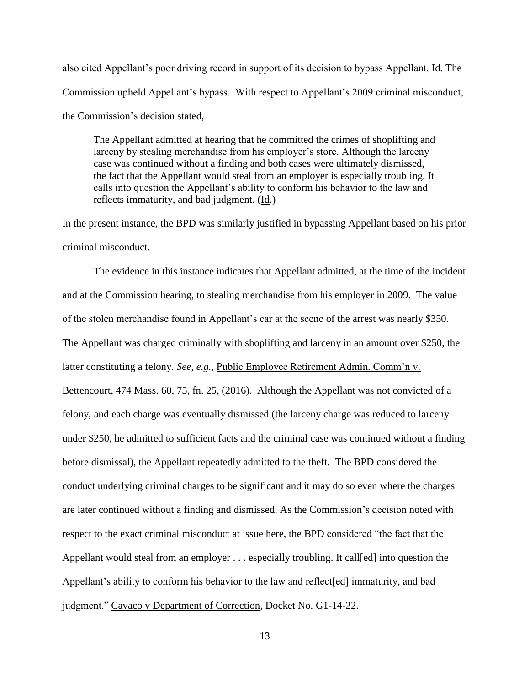also cited Appellant's poor driving record in support of its decision to bypass Appellant. Id*.* The Commission upheld Appellant's bypass. With respect to Appellant's 2009 criminal misconduct, the Commission's decision stated,

The Appellant admitted at hearing that he committed the crimes of shoplifting and larceny by stealing merchandise from his employer's store. Although the larceny case was continued without a finding and both cases were ultimately dismissed, the fact that the Appellant would steal from an employer is especially troubling. It calls into question the Appellant's ability to conform his behavior to the law and reflects immaturity, and bad judgment. (Id.)

In the present instance, the BPD was similarly justified in bypassing Appellant based on his prior criminal misconduct.

The evidence in this instance indicates that Appellant admitted, at the time of the incident and at the Commission hearing, to stealing merchandise from his employer in 2009. The value of the stolen merchandise found in Appellant's car at the scene of the arrest was nearly \$350. The Appellant was charged criminally with shoplifting and larceny in an amount over \$250, the latter constituting a felony. *See, e.g.,* Public Employee Retirement Admin. Comm'n v. Bettencourt, 474 Mass. 60, 75, fn. 25, (2016). Although the Appellant was not convicted of a felony, and each charge was eventually dismissed (the larceny charge was reduced to larceny under \$250, he admitted to sufficient facts and the criminal case was continued without a finding before dismissal), the Appellant repeatedly admitted to the theft. The BPD considered the conduct underlying criminal charges to be significant and it may do so even where the charges are later continued without a finding and dismissed. As the Commission's decision noted with respect to the exact criminal misconduct at issue here, the BPD considered "the fact that the Appellant would steal from an employer . . . especially troubling. It call[ed] into question the Appellant's ability to conform his behavior to the law and reflect[ed] immaturity, and bad judgment." Cavaco v Department of Correction*,* Docket No. G1-14-22.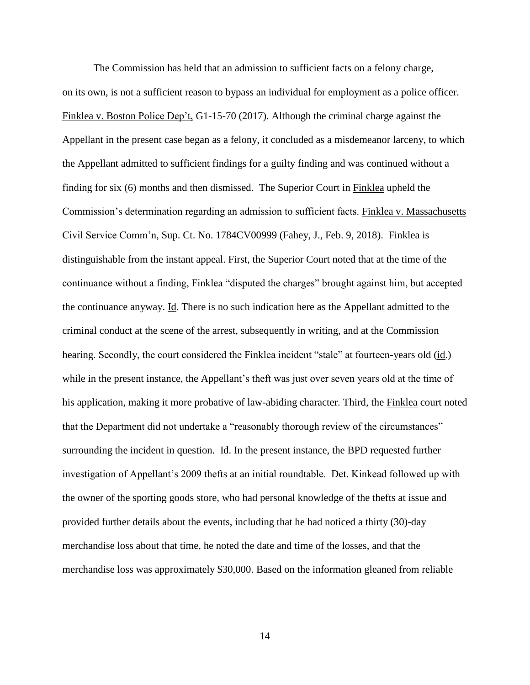The Commission has held that an admission to sufficient facts on a felony charge, on its own, is not a sufficient reason to bypass an individual for employment as a police officer. Finklea v. Boston Police Dep't, G1-15-70 (2017). Although the criminal charge against the Appellant in the present case began as a felony, it concluded as a misdemeanor larceny, to which the Appellant admitted to sufficient findings for a guilty finding and was continued without a finding for six (6) months and then dismissed. The Superior Court in Finklea upheld the Commission's determination regarding an admission to sufficient facts. Finklea v. Massachusetts Civil Service Comm'n*,* Sup. Ct. No. 1784CV00999 (Fahey, J., Feb. 9, 2018). Finklea is distinguishable from the instant appeal. First, the Superior Court noted that at the time of the continuance without a finding, Finklea "disputed the charges" brought against him, but accepted the continuance anyway. Id*.* There is no such indication here as the Appellant admitted to the criminal conduct at the scene of the arrest, subsequently in writing, and at the Commission hearing. Secondly, the court considered the Finklea incident "stale" at fourteen-years old (id.) while in the present instance, the Appellant's theft was just over seven years old at the time of his application, making it more probative of law-abiding character. Third, the Finklea court noted that the Department did not undertake a "reasonably thorough review of the circumstances" surrounding the incident in question. Id. In the present instance, the BPD requested further investigation of Appellant's 2009 thefts at an initial roundtable. Det. Kinkead followed up with the owner of the sporting goods store, who had personal knowledge of the thefts at issue and provided further details about the events, including that he had noticed a thirty (30)-day merchandise loss about that time, he noted the date and time of the losses, and that the merchandise loss was approximately \$30,000. Based on the information gleaned from reliable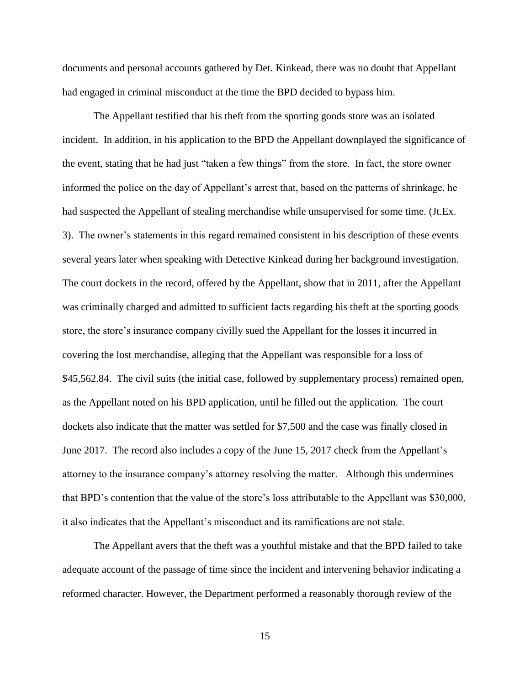documents and personal accounts gathered by Det. Kinkead, there was no doubt that Appellant had engaged in criminal misconduct at the time the BPD decided to bypass him.

The Appellant testified that his theft from the sporting goods store was an isolated incident. In addition, in his application to the BPD the Appellant downplayed the significance of the event, stating that he had just "taken a few things" from the store. In fact, the store owner informed the police on the day of Appellant's arrest that, based on the patterns of shrinkage, he had suspected the Appellant of stealing merchandise while unsupervised for some time. (Jt.Ex. 3). The owner's statements in this regard remained consistent in his description of these events several years later when speaking with Detective Kinkead during her background investigation. The court dockets in the record, offered by the Appellant, show that in 2011, after the Appellant was criminally charged and admitted to sufficient facts regarding his theft at the sporting goods store, the store's insurance company civilly sued the Appellant for the losses it incurred in covering the lost merchandise, alleging that the Appellant was responsible for a loss of \$45,562.84. The civil suits (the initial case, followed by supplementary process) remained open, as the Appellant noted on his BPD application, until he filled out the application. The court dockets also indicate that the matter was settled for \$7,500 and the case was finally closed in June 2017. The record also includes a copy of the June 15, 2017 check from the Appellant's attorney to the insurance company's attorney resolving the matter. Although this undermines that BPD's contention that the value of the store's loss attributable to the Appellant was \$30,000, it also indicates that the Appellant's misconduct and its ramifications are not stale.

The Appellant avers that the theft was a youthful mistake and that the BPD failed to take adequate account of the passage of time since the incident and intervening behavior indicating a reformed character. However, the Department performed a reasonably thorough review of the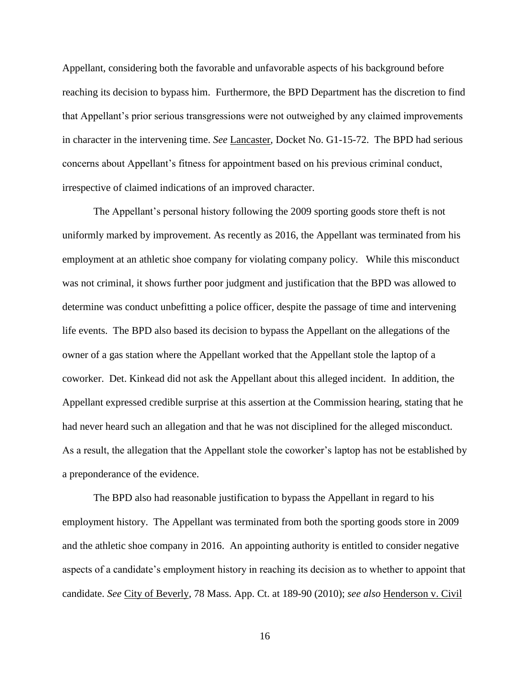Appellant, considering both the favorable and unfavorable aspects of his background before reaching its decision to bypass him. Furthermore, the BPD Department has the discretion to find that Appellant's prior serious transgressions were not outweighed by any claimed improvements in character in the intervening time. *See* Lancaster*,* Docket No. G1-15-72. The BPD had serious concerns about Appellant's fitness for appointment based on his previous criminal conduct, irrespective of claimed indications of an improved character.

The Appellant's personal history following the 2009 sporting goods store theft is not uniformly marked by improvement. As recently as 2016, the Appellant was terminated from his employment at an athletic shoe company for violating company policy. While this misconduct was not criminal, it shows further poor judgment and justification that the BPD was allowed to determine was conduct unbefitting a police officer, despite the passage of time and intervening life events. The BPD also based its decision to bypass the Appellant on the allegations of the owner of a gas station where the Appellant worked that the Appellant stole the laptop of a coworker. Det. Kinkead did not ask the Appellant about this alleged incident. In addition, the Appellant expressed credible surprise at this assertion at the Commission hearing, stating that he had never heard such an allegation and that he was not disciplined for the alleged misconduct. As a result, the allegation that the Appellant stole the coworker's laptop has not be established by a preponderance of the evidence.

The BPD also had reasonable justification to bypass the Appellant in regard to his employment history. The Appellant was terminated from both the sporting goods store in 2009 and the athletic shoe company in 2016. An appointing authority is entitled to consider negative aspects of a candidate's employment history in reaching its decision as to whether to appoint that candidate. *See* City of Beverly, 78 Mass. App. Ct. at 189-90 (2010); *see also* Henderson v. Civil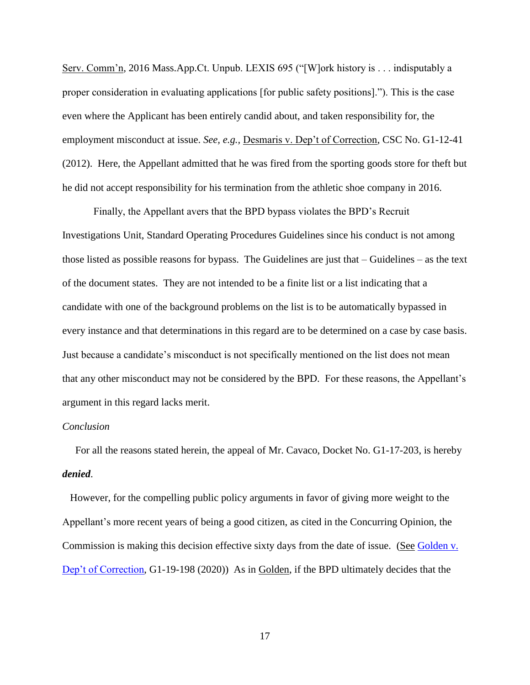Serv. Comm'n*,* 2016 Mass.App.Ct. Unpub. LEXIS 695 ("[W]ork history is . . . indisputably a proper consideration in evaluating applications [for public safety positions]."). This is the case even where the Applicant has been entirely candid about, and taken responsibility for, the employment misconduct at issue. *See, e.g.,* Desmaris v. Dep't of Correction, CSC No. G1-12-41 (2012). Here, the Appellant admitted that he was fired from the sporting goods store for theft but he did not accept responsibility for his termination from the athletic shoe company in 2016.

Finally, the Appellant avers that the BPD bypass violates the BPD's Recruit Investigations Unit, Standard Operating Procedures Guidelines since his conduct is not among those listed as possible reasons for bypass. The Guidelines are just that  $-$  Guidelines  $-$  as the text of the document states. They are not intended to be a finite list or a list indicating that a candidate with one of the background problems on the list is to be automatically bypassed in every instance and that determinations in this regard are to be determined on a case by case basis. Just because a candidate's misconduct is not specifically mentioned on the list does not mean that any other misconduct may not be considered by the BPD. For these reasons, the Appellant's argument in this regard lacks merit.

#### *Conclusion*

 For all the reasons stated herein, the appeal of Mr. Cavaco, Docket No. G1-17-203, is hereby *denied*.

 However, for the compelling public policy arguments in favor of giving more weight to the Appellant's more recent years of being a good citizen, as cited in the Concurring Opinion, the Commission is making this decision effective sixty days from the date of issue. (See Golden v. [Dep't of Correction,](https://www.mass.gov/doc/golden-michael-v-department-of-correction-5720/download) G1-19-198 (2020)) As in Golden, if the BPD ultimately decides that the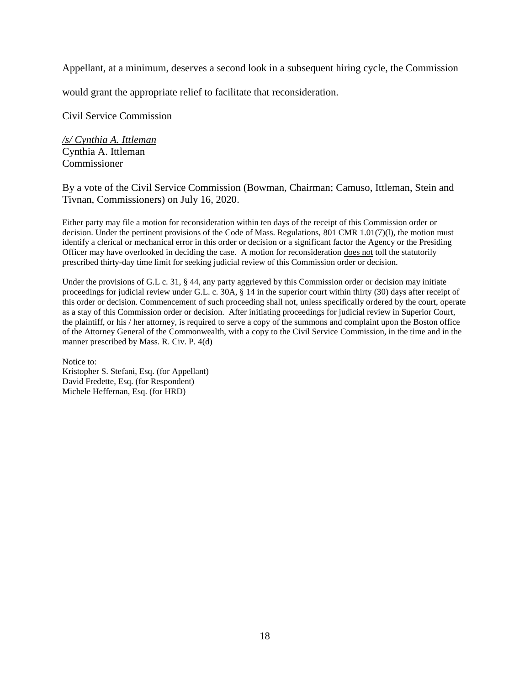Appellant, at a minimum, deserves a second look in a subsequent hiring cycle, the Commission

would grant the appropriate relief to facilitate that reconsideration.

Civil Service Commission

*/s/ Cynthia A. Ittleman* Cynthia A. Ittleman Commissioner

# By a vote of the Civil Service Commission (Bowman, Chairman; Camuso, Ittleman, Stein and Tivnan, Commissioners) on July 16, 2020.

Either party may file a motion for reconsideration within ten days of the receipt of this Commission order or decision. Under the pertinent provisions of the Code of Mass. Regulations, 801 CMR 1.01(7)(l), the motion must identify a clerical or mechanical error in this order or decision or a significant factor the Agency or the Presiding Officer may have overlooked in deciding the case. A motion for reconsideration does not toll the statutorily prescribed thirty-day time limit for seeking judicial review of this Commission order or decision.

Under the provisions of G.L c. 31, § 44, any party aggrieved by this Commission order or decision may initiate proceedings for judicial review under G.L. c. 30A, § 14 in the superior court within thirty (30) days after receipt of this order or decision. Commencement of such proceeding shall not, unless specifically ordered by the court, operate as a stay of this Commission order or decision. After initiating proceedings for judicial review in Superior Court, the plaintiff, or his / her attorney, is required to serve a copy of the summons and complaint upon the Boston office of the Attorney General of the Commonwealth, with a copy to the Civil Service Commission, in the time and in the manner prescribed by Mass. R. Civ. P. 4(d)

Notice to: Kristopher S. Stefani, Esq. (for Appellant) David Fredette, Esq. (for Respondent) Michele Heffernan, Esq. (for HRD)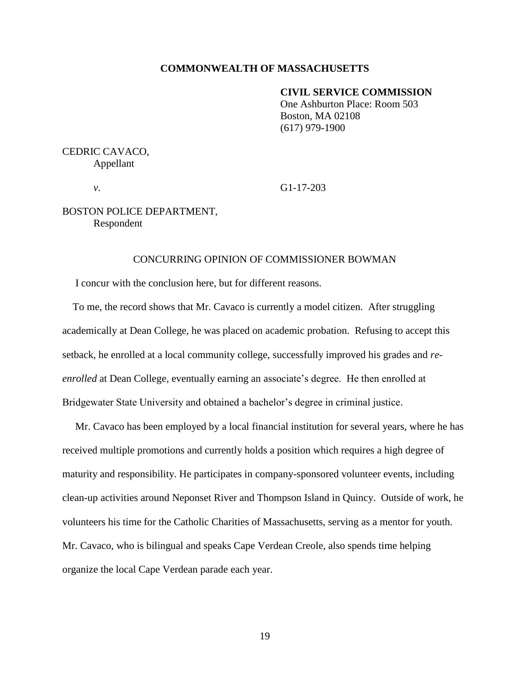#### **COMMONWEALTH OF MASSACHUSETTS**

#### **CIVIL SERVICE COMMISSION**

One Ashburton Place: Room 503 Boston, MA 02108 (617) 979-1900

# CEDRIC CAVACO, Appellant

*v*. G1-17-203

# BOSTON POLICE DEPARTMENT, Respondent

## CONCURRING OPINION OF COMMISSIONER BOWMAN

I concur with the conclusion here, but for different reasons.

 To me, the record shows that Mr. Cavaco is currently a model citizen. After struggling academically at Dean College, he was placed on academic probation. Refusing to accept this setback, he enrolled at a local community college, successfully improved his grades and *reenrolled* at Dean College, eventually earning an associate's degree. He then enrolled at Bridgewater State University and obtained a bachelor's degree in criminal justice.

 Mr. Cavaco has been employed by a local financial institution for several years, where he has received multiple promotions and currently holds a position which requires a high degree of maturity and responsibility. He participates in company-sponsored volunteer events, including clean-up activities around Neponset River and Thompson Island in Quincy. Outside of work, he volunteers his time for the Catholic Charities of Massachusetts, serving as a mentor for youth. Mr. Cavaco, who is bilingual and speaks Cape Verdean Creole, also spends time helping organize the local Cape Verdean parade each year.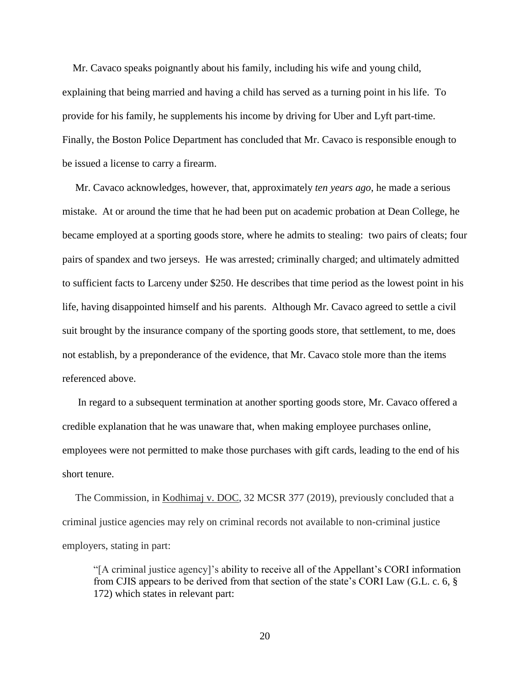Mr. Cavaco speaks poignantly about his family, including his wife and young child, explaining that being married and having a child has served as a turning point in his life. To provide for his family, he supplements his income by driving for Uber and Lyft part-time. Finally, the Boston Police Department has concluded that Mr. Cavaco is responsible enough to be issued a license to carry a firearm.

 Mr. Cavaco acknowledges, however, that, approximately *ten years ago*, he made a serious mistake. At or around the time that he had been put on academic probation at Dean College, he became employed at a sporting goods store, where he admits to stealing: two pairs of cleats; four pairs of spandex and two jerseys. He was arrested; criminally charged; and ultimately admitted to sufficient facts to Larceny under \$250. He describes that time period as the lowest point in his life, having disappointed himself and his parents. Although Mr. Cavaco agreed to settle a civil suit brought by the insurance company of the sporting goods store, that settlement, to me, does not establish, by a preponderance of the evidence, that Mr. Cavaco stole more than the items referenced above.

 In regard to a subsequent termination at another sporting goods store, Mr. Cavaco offered a credible explanation that he was unaware that, when making employee purchases online, employees were not permitted to make those purchases with gift cards, leading to the end of his short tenure.

 The Commission, in Kodhimaj v. DOC, 32 MCSR 377 (2019), previously concluded that a criminal justice agencies may rely on criminal records not available to non-criminal justice employers, stating in part:

"[A criminal justice agency]'s ability to receive all of the Appellant's CORI information from CJIS appears to be derived from that section of the state's CORI Law (G.L. c. 6, § 172) which states in relevant part: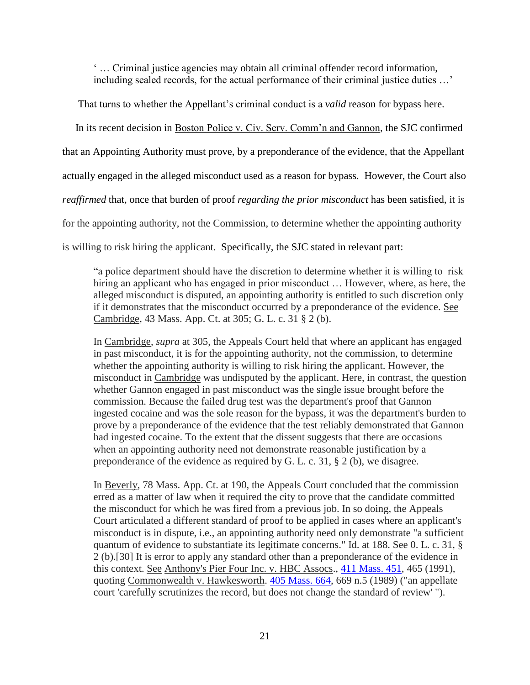' … Criminal justice agencies may obtain all criminal offender record information, including sealed records, for the actual performance of their criminal justice duties …'

That turns to whether the Appellant's criminal conduct is a *valid* reason for bypass here.

 In its recent decision in Boston Police v. Civ. Serv. Comm'n and Gannon, the SJC confirmed that an Appointing Authority must prove, by a preponderance of the evidence*,* that the Appellant actually engaged in the alleged misconduct used as a reason for bypass. However, the Court also *reaffirmed* that, once that burden of proof *regarding the prior misconduct* has been satisfied, it is for the appointing authority, not the Commission, to determine whether the appointing authority is willing to risk hiring the applicant. Specifically, the SJC stated in relevant part:

"a police department should have the discretion to determine whether it is willing to risk hiring an applicant who has engaged in prior misconduct ... However, where, as here, the alleged misconduct is disputed, an appointing authority is entitled to such discretion only if it demonstrates that the misconduct occurred by a preponderance of the evidence. See Cambridge, 43 Mass. App. Ct. at 305; G. L. c. 31 § 2 (b).

In Cambridge, *supra* at 305, the Appeals Court held that where an applicant has engaged in past misconduct, it is for the appointing authority, not the commission, to determine whether the appointing authority is willing to risk hiring the applicant. However, the misconduct in Cambridge was undisputed by the applicant. Here, in contrast, the question whether Gannon engaged in past misconduct was the single issue brought before the commission. Because the failed drug test was the department's proof that Gannon ingested cocaine and was the sole reason for the bypass, it was the department's burden to prove by a preponderance of the evidence that the test reliably demonstrated that Gannon had ingested cocaine. To the extent that the dissent suggests that there are occasions when an appointing authority need not demonstrate reasonable justification by a preponderance of the evidence as required by G. L. c. 31, § 2 (b), we disagree.

In Beverly, 78 Mass. App. Ct. at 190, the Appeals Court concluded that the commission erred as a matter of law when it required the city to prove that the candidate committed the misconduct for which he was fired from a previous job. In so doing, the Appeals Court articulated a different standard of proof to be applied in cases where an applicant's misconduct is in dispute, i.e., an appointing authority need only demonstrate "a sufficient quantum of evidence to substantiate its legitimate concerns." Id. at 188. See 0. L. c. 31, § 2 (b).[30] It is error to apply any standard other than a preponderance of the evidence in this context. See Anthony's Pier Four Inc. v. HBC Assocs., [411 Mass. 451,](http://sll.gvpi.net/document.php?id=sjcapp:411_mass_451) 465 (1991), quoting Commonwealth v. Hawkesworth. [405 Mass. 664,](http://sll.gvpi.net/document.php?id=sjcapp:405_mass_664) 669 n.5 (1989) ("an appellate court 'carefully scrutinizes the record, but does not change the standard of review' ").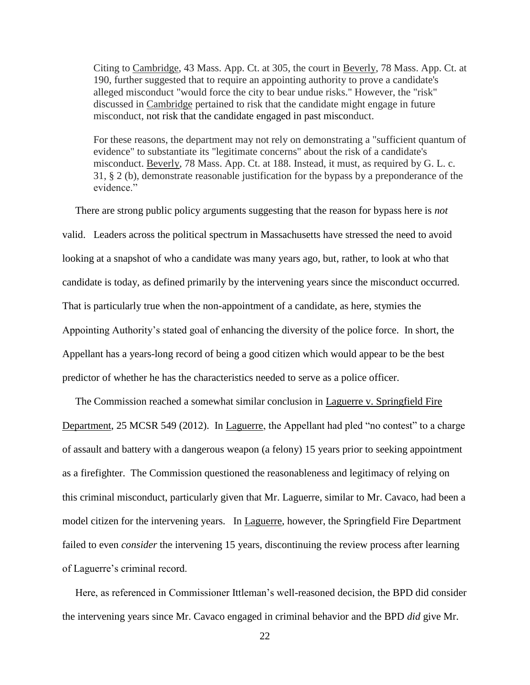Citing to Cambridge, 43 Mass. App. Ct. at 305, the court in Beverly, 78 Mass. App. Ct. at 190, further suggested that to require an appointing authority to prove a candidate's alleged misconduct "would force the city to bear undue risks." However, the "risk" discussed in Cambridge pertained to risk that the candidate might engage in future misconduct, not risk that the candidate engaged in past misconduct.

For these reasons, the department may not rely on demonstrating a "sufficient quantum of evidence" to substantiate its "legitimate concerns" about the risk of a candidate's misconduct. Beverly, 78 Mass. App. Ct. at 188. Instead, it must, as required by G. L. c. 31, § 2 (b), demonstrate reasonable justification for the bypass by a preponderance of the evidence"

 There are strong public policy arguments suggesting that the reason for bypass here is *not*  valid. Leaders across the political spectrum in Massachusetts have stressed the need to avoid looking at a snapshot of who a candidate was many years ago, but, rather, to look at who that candidate is today, as defined primarily by the intervening years since the misconduct occurred. That is particularly true when the non-appointment of a candidate, as here, stymies the Appointing Authority's stated goal of enhancing the diversity of the police force. In short, the Appellant has a years-long record of being a good citizen which would appear to be the best predictor of whether he has the characteristics needed to serve as a police officer.

 The Commission reached a somewhat similar conclusion in Laguerre v. Springfield Fire Department, 25 MCSR 549 (2012). In Laguerre, the Appellant had pled "no contest" to a charge of assault and battery with a dangerous weapon (a felony) 15 years prior to seeking appointment as a firefighter. The Commission questioned the reasonableness and legitimacy of relying on this criminal misconduct, particularly given that Mr. Laguerre, similar to Mr. Cavaco, had been a model citizen for the intervening years. In Laguerre, however, the Springfield Fire Department failed to even *consider* the intervening 15 years, discontinuing the review process after learning of Laguerre's criminal record.

 Here, as referenced in Commissioner Ittleman's well-reasoned decision, the BPD did consider the intervening years since Mr. Cavaco engaged in criminal behavior and the BPD *did* give Mr.